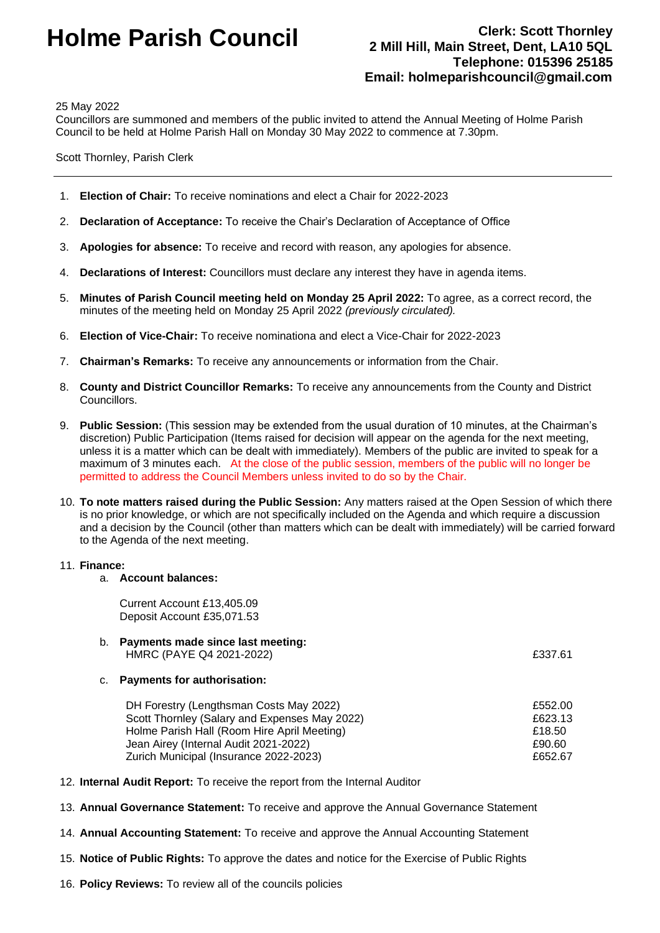# **Holme Parish Council Clerk: Scott Thornley**

# **2 Mill Hill, Main Street, Dent, LA10 5QL Telephone: 015396 25185 Email: holmeparishcouncil@gmail.com**

25 May 2022

Councillors are summoned and members of the public invited to attend the Annual Meeting of Holme Parish Council to be held at Holme Parish Hall on Monday 30 May 2022 to commence at 7.30pm.

Scott Thornley, Parish Clerk

- 1. **Election of Chair:** To receive nominations and elect a Chair for 2022-2023
- 2. **Declaration of Acceptance:** To receive the Chair's Declaration of Acceptance of Office
- 3. **Apologies for absence:** To receive and record with reason, any apologies for absence.
- 4. **Declarations of Interest:** Councillors must declare any interest they have in agenda items.
- 5. **Minutes of Parish Council meeting held on Monday 25 April 2022:** To agree, as a correct record, the minutes of the meeting held on Monday 25 April 2022 *(previously circulated).*
- 6. **Election of Vice-Chair:** To receive nominationa and elect a Vice-Chair for 2022-2023
- 7. **Chairman's Remarks:** To receive any announcements or information from the Chair.
- 8. **County and District Councillor Remarks:** To receive any announcements from the County and District Councillors.
- 9. **Public Session:** (This session may be extended from the usual duration of 10 minutes, at the Chairman's discretion) Public Participation (Items raised for decision will appear on the agenda for the next meeting, unless it is a matter which can be dealt with immediately). Members of the public are invited to speak for a maximum of 3 minutes each. At the close of the public session, members of the public will no longer be permitted to address the Council Members unless invited to do so by the Chair.
- 10. **To note matters raised during the Public Session:** Any matters raised at the Open Session of which there is no prior knowledge, or which are not specifically included on the Agenda and which require a discussion and a decision by the Council (other than matters which can be dealt with immediately) will be carried forward to the Agenda of the next meeting.

# 11. **Finance:**

#### a. **Account balances:**

Current Account £13,405.09 Deposit Account £35,071.53

b. **Payments made since last meeting:** HMRC (PAYE Q4 2021-2022) **EXAMPLE 19** E337.61

#### c. **Payments for authorisation:**

| £552.00 |
|---------|
| £623.13 |
| £18.50  |
| £90.60  |
| £652.67 |
|         |

- 12. **Internal Audit Report:** To receive the report from the Internal Auditor
- 13. **Annual Governance Statement:** To receive and approve the Annual Governance Statement
- 14. **Annual Accounting Statement:** To receive and approve the Annual Accounting Statement
- 15. **Notice of Public Rights:** To approve the dates and notice for the Exercise of Public Rights
- 16. **Policy Reviews:** To review all of the councils policies